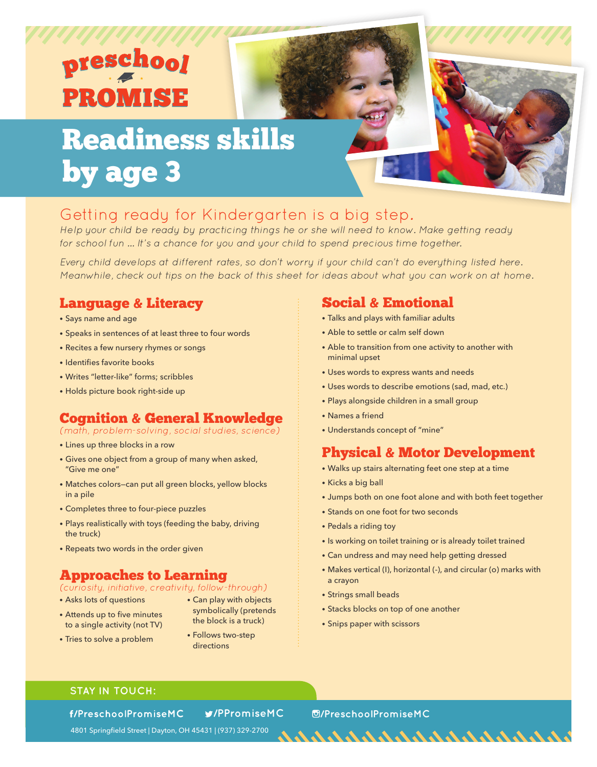# <u>reschool</u> **PROMISE**

## Readiness skills by age 3

### Getting ready for Kindergarten is a big step.

Help your child be ready by practicing things he or she will need to know. Make getting ready for school fun ... It's a chance for you and your child to spend precious time together.

Every child develops at different rates, so don't worry if your child can't do everything listed here. Meanwhile, check out tips on the back of this sheet for ideas about what you can work on at home.

### Language & Literacy

- Says name and age
- Speaks in sentences of at least three to four words
- Recites a few nursery rhymes or songs
- Identifies favorite books
- Writes "letter-like" forms; scribbles
- Holds picture book right-side up

### Cognition & General Knowledge

(math, problem-solving, social studies, science)

- Lines up three blocks in a row
- Gives one object from a group of many when asked, "Give me one"
- Matches colors—can put all green blocks, yellow blocks in a pile
- Completes three to four-piece puzzles
- Plays realistically with toys (feeding the baby, driving the truck)
- Repeats two words in the order given

### Approaches to Learning

### (curiosity, initiative, creativity, follow-through)

- Asks lots of questions
- Attends up to five minutes to a single activity (not TV)
- Can play with objects symbolically (pretends the block is a truck)
- Tries to solve a problem
- Follows two-step directions

### Social & Emotional

- Talks and plays with familiar adults
- Able to settle or calm self down
- Able to transition from one activity to another with minimal upset
- Uses words to express wants and needs
- Uses words to describe emotions (sad, mad, etc.)
- Plays alongside children in a small group
- Names a friend
- Understands concept of "mine"

### Physical & Motor Development

- Walks up stairs alternating feet one step at a time
- Kicks a big ball
- Jumps both on one foot alone and with both feet together
- Stands on one foot for two seconds
- Pedals a riding toy
- Is working on toilet training or is already toilet trained
- Can undress and may need help getting dressed
- Makes vertical (I), horizontal (-), and circular (o) marks with a crayon

- Strings small beads
- Stacks blocks on top of one another
- Snips paper with scissors

### **STAY IN TOUCH:**

f/PreschoolPromiseMC

**/PPromiseMC /PreschoolPromiseMC**

4801 Springfield Street | Dayton, OH 45431 | (937) 329-2700